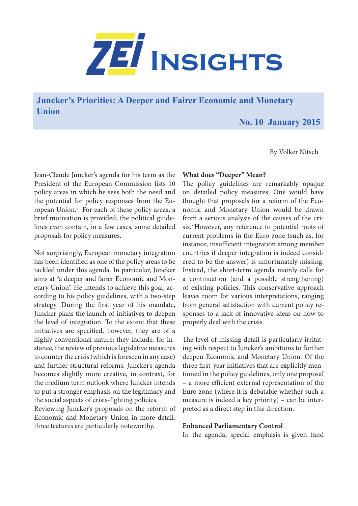

**Juncker's Priorities: A Deeper and Fairer Economic and Monetary Union**

# **No. 10 January 2015**

By Volker Nitsch

Jean-Claude Juncker's agenda for his term as the President of the European Commission lists 10 policy areas in which he sees both the need and the potential for policy responses from the European Union.1 For each of these policy areas, a brief motivation is provided; the political guidelines even contain, in a few cases, some detailed proposals for policy measures.

Not surprisingly, European monetary integration has been identified as one of the policy areas to be tackled under this agenda. In particular, Juncker aims at "a deeper and fairer Economic and Monetary Union". He intends to achieve this goal, according to his policy guidelines, with a two-step strategy. During the first year of his mandate, Juncker plans the launch of initiatives to deepen the level of integration. To the extent that these initiatives are specified, however, they are of a highly conventional nature; they include, for instance, the review of previous legislative measures to counter the crisis (which is foreseen in any case) and further structural reforms. Juncker's agenda becomes slightly more creative, in contrast, for the medium term outlook where Juncker intends to put a stronger emphasis on the legitimacy and the social aspects of crisis-fighting policies.

Reviewing Juncker's proposals on the reform of Economic and Monetary Union in more detail, three features are particularly noteworthy.

## **What does "Deeper" Mean?**

The policy guidelines are remarkably opaque on detailed policy measures. One would have thought that proposals for a reform of the Economic and Monetary Union would be drawn from a serious analysis of the causes of the crisis.2 However, any reference to potential roots of current problems in the Euro zone (such as, for instance, insufficient integration among member countries if deeper integration is indeed considered to be the answer) is unfortunately missing. Instead, the short-term agenda mainly calls for a continuation (and a possible strengthening) of existing policies. This conservative approach leaves room for various interpretations, ranging from general satisfaction with current policy responses to a lack of innovative ideas on how to properly deal with the crisis.

The level of missing detail is particularly irritating with respect to Juncker's ambitions to further deepen Economic and Monetary Union. Of the three first-year initiatives that are explicitly mentioned in the policy guidelines, only one proposal – a more efficient external representation of the Euro zone (where it is debatable whether such a measure is indeed a key priority) – can be interpreted as a direct step in this direction.

#### **Enhanced Parliamentary Control**

In the agenda, special emphasis is given (and